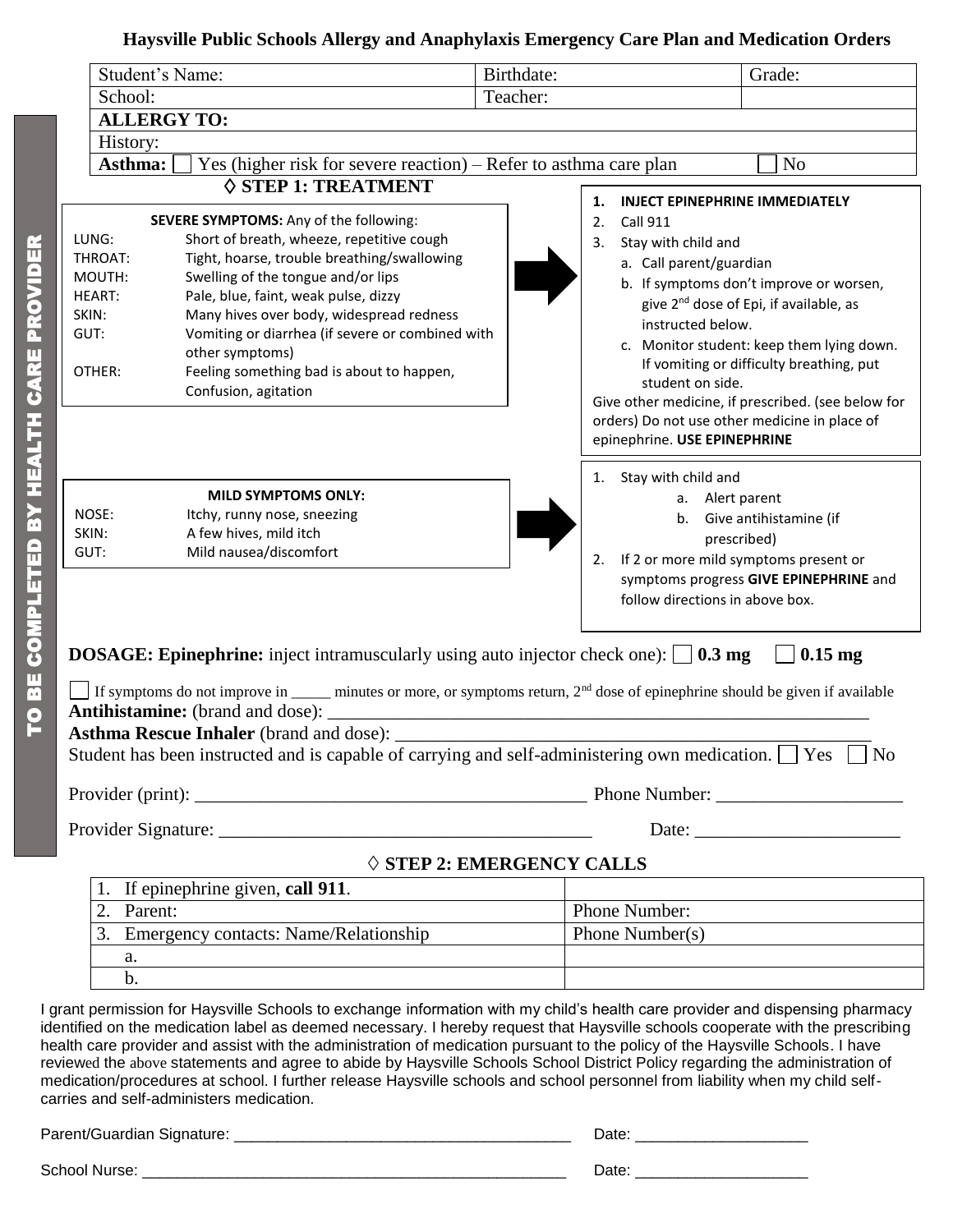## **Haysville Public Schools Allergy and Anaphylaxis Emergency Care Plan and Medication Orders**

| Student's Name:                                                                                                                                                                                                                                                                                                                                                                                                                                                                                                    |                                                                                                                                                                                                                                                                                                                                                                                                                                                                                                                                                                                                                                                                  | Birthdate: |                                                                                                                                                                                                                                                                                                                                                                                                                                                                        | Grade:                                                                                                                      |  |
|--------------------------------------------------------------------------------------------------------------------------------------------------------------------------------------------------------------------------------------------------------------------------------------------------------------------------------------------------------------------------------------------------------------------------------------------------------------------------------------------------------------------|------------------------------------------------------------------------------------------------------------------------------------------------------------------------------------------------------------------------------------------------------------------------------------------------------------------------------------------------------------------------------------------------------------------------------------------------------------------------------------------------------------------------------------------------------------------------------------------------------------------------------------------------------------------|------------|------------------------------------------------------------------------------------------------------------------------------------------------------------------------------------------------------------------------------------------------------------------------------------------------------------------------------------------------------------------------------------------------------------------------------------------------------------------------|-----------------------------------------------------------------------------------------------------------------------------|--|
| School:                                                                                                                                                                                                                                                                                                                                                                                                                                                                                                            |                                                                                                                                                                                                                                                                                                                                                                                                                                                                                                                                                                                                                                                                  | Teacher:   |                                                                                                                                                                                                                                                                                                                                                                                                                                                                        |                                                                                                                             |  |
| <b>ALLERGY TO:</b>                                                                                                                                                                                                                                                                                                                                                                                                                                                                                                 |                                                                                                                                                                                                                                                                                                                                                                                                                                                                                                                                                                                                                                                                  |            |                                                                                                                                                                                                                                                                                                                                                                                                                                                                        |                                                                                                                             |  |
| History:                                                                                                                                                                                                                                                                                                                                                                                                                                                                                                           |                                                                                                                                                                                                                                                                                                                                                                                                                                                                                                                                                                                                                                                                  |            |                                                                                                                                                                                                                                                                                                                                                                                                                                                                        |                                                                                                                             |  |
| Asthma:                                                                                                                                                                                                                                                                                                                                                                                                                                                                                                            | Yes (higher risk for severe reaction) – Refer to asthma care plan                                                                                                                                                                                                                                                                                                                                                                                                                                                                                                                                                                                                |            |                                                                                                                                                                                                                                                                                                                                                                                                                                                                        | N <sub>o</sub>                                                                                                              |  |
| $\diamond$ STEP 1: TREATMENT<br>SEVERE SYMPTOMS: Any of the following:<br>LUNG:<br>Short of breath, wheeze, repetitive cough<br>Tight, hoarse, trouble breathing/swallowing<br>THROAT:<br>Swelling of the tongue and/or lips<br>MOUTH:<br>Pale, blue, faint, weak pulse, dizzy<br><b>HEART:</b><br>Many hives over body, widespread redness<br>SKIN:<br>Vomiting or diarrhea (if severe or combined with<br>GUT:<br>other symptoms)<br>Feeling something bad is about to happen,<br>OTHER:<br>Confusion, agitation |                                                                                                                                                                                                                                                                                                                                                                                                                                                                                                                                                                                                                                                                  |            | <b>INJECT EPINEPHRINE IMMEDIATELY</b><br>1.<br>2.<br><b>Call 911</b><br>Stay with child and<br>3.<br>a. Call parent/guardian<br>b. If symptoms don't improve or worsen,<br>give 2 <sup>nd</sup> dose of Epi, if available, as<br>instructed below.<br>c. Monitor student: keep them lying down.<br>If vomiting or difficulty breathing, put<br>student on side.<br>Give other medicine, if prescribed. (see below for<br>orders) Do not use other medicine in place of |                                                                                                                             |  |
| NOSE:<br>SKIN:<br>GUT:                                                                                                                                                                                                                                                                                                                                                                                                                                                                                             | <b>MILD SYMPTOMS ONLY:</b><br>Itchy, runny nose, sneezing<br>A few hives, mild itch<br>Mild nausea/discomfort                                                                                                                                                                                                                                                                                                                                                                                                                                                                                                                                                    |            | epinephrine. USE EPINEPHRINE<br>Stay with child and<br>1.<br>a. Alert parent<br>2.<br>follow directions in above box.                                                                                                                                                                                                                                                                                                                                                  | b. Give antihistamine (if<br>prescribed)<br>If 2 or more mild symptoms present or<br>symptoms progress GIVE EPINEPHRINE and |  |
| <b>DOSAGE:</b> Epinephrine: inject intramuscularly using auto injector check one): $\Box$ <b>0.3 mg</b><br>$0.15$ mg<br>If symptoms do not improve in _____ minutes or more, or symptoms return, $2nd$ dose of epinephrine should be given if available<br><b>Antihistamine:</b> (brand and dose):<br><b>Asthma Rescue Inhaler</b> (brand and dose):<br>Student has been instructed and is capable of carrying and self-administering own medication. $\Box$ Yes $\Box$ No                                         |                                                                                                                                                                                                                                                                                                                                                                                                                                                                                                                                                                                                                                                                  |            |                                                                                                                                                                                                                                                                                                                                                                                                                                                                        |                                                                                                                             |  |
|                                                                                                                                                                                                                                                                                                                                                                                                                                                                                                                    | Provider Signature: _________                                                                                                                                                                                                                                                                                                                                                                                                                                                                                                                                                                                                                                    |            |                                                                                                                                                                                                                                                                                                                                                                                                                                                                        | Date:                                                                                                                       |  |
|                                                                                                                                                                                                                                                                                                                                                                                                                                                                                                                    | $\diamond$ STEP 2: EMERGENCY CALLS                                                                                                                                                                                                                                                                                                                                                                                                                                                                                                                                                                                                                               |            |                                                                                                                                                                                                                                                                                                                                                                                                                                                                        |                                                                                                                             |  |
|                                                                                                                                                                                                                                                                                                                                                                                                                                                                                                                    | If epinephrine given, call 911.                                                                                                                                                                                                                                                                                                                                                                                                                                                                                                                                                                                                                                  |            |                                                                                                                                                                                                                                                                                                                                                                                                                                                                        |                                                                                                                             |  |
| Parent:<br>$\overline{2}$ .                                                                                                                                                                                                                                                                                                                                                                                                                                                                                        |                                                                                                                                                                                                                                                                                                                                                                                                                                                                                                                                                                                                                                                                  |            | Phone Number:                                                                                                                                                                                                                                                                                                                                                                                                                                                          |                                                                                                                             |  |
| 3.                                                                                                                                                                                                                                                                                                                                                                                                                                                                                                                 | <b>Emergency contacts: Name/Relationship</b>                                                                                                                                                                                                                                                                                                                                                                                                                                                                                                                                                                                                                     |            | Phone Number( $s$ )                                                                                                                                                                                                                                                                                                                                                                                                                                                    |                                                                                                                             |  |
| a.                                                                                                                                                                                                                                                                                                                                                                                                                                                                                                                 |                                                                                                                                                                                                                                                                                                                                                                                                                                                                                                                                                                                                                                                                  |            |                                                                                                                                                                                                                                                                                                                                                                                                                                                                        |                                                                                                                             |  |
| $b$ .                                                                                                                                                                                                                                                                                                                                                                                                                                                                                                              |                                                                                                                                                                                                                                                                                                                                                                                                                                                                                                                                                                                                                                                                  |            |                                                                                                                                                                                                                                                                                                                                                                                                                                                                        |                                                                                                                             |  |
|                                                                                                                                                                                                                                                                                                                                                                                                                                                                                                                    | I grant permission for Haysville Schools to exchange information with my child's health care provider and dispensing pharmacy<br>identified on the medication label as deemed necessary. I hereby request that Haysville schools cooperate with the prescribing<br>health care provider and assist with the administration of medication pursuant to the policy of the Haysville Schools. I have<br>reviewed the above statements and agree to abide by Haysville Schools School District Policy regarding the administration of<br>medication/procedures at school. I further release Haysville schools and school personnel from liability when my child self- |            |                                                                                                                                                                                                                                                                                                                                                                                                                                                                        |                                                                                                                             |  |

Parent/Guardian Signature: \_\_\_\_\_\_\_\_\_\_\_\_\_\_\_\_\_\_\_\_\_\_\_\_\_\_\_\_\_\_\_\_\_\_\_\_\_\_\_ Date: \_\_\_\_\_\_\_\_\_\_\_\_\_\_\_\_\_\_\_\_

carries and self-administers medication.

School Nurse: \_\_\_\_\_\_\_\_\_\_\_\_\_\_\_\_\_\_\_\_\_\_\_\_\_\_\_\_\_\_\_\_\_\_\_\_\_\_\_\_\_\_\_\_\_\_\_\_\_ Date: \_\_\_\_\_\_\_\_\_\_\_\_\_\_\_\_\_\_\_\_